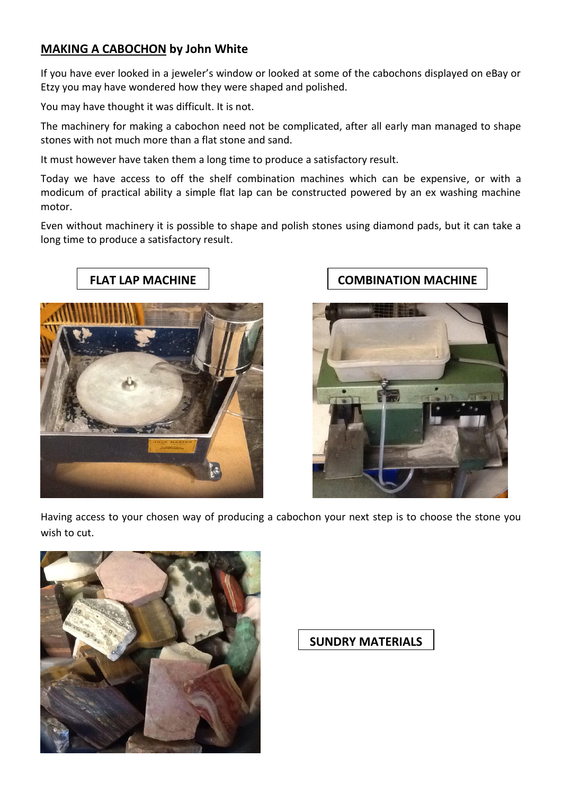## **MAKING A CABOCHON by John White**

If you have ever looked in a jeweler's window or looked at some of the cabochons displayed on eBay or Etzy you may have wondered how they were shaped and polished.

You may have thought it was difficult. It is not.

The machinery for making a cabochon need not be complicated, after all early man managed to shape stones with not much more than a flat stone and sand.

It must however have taken them a long time to produce a satisfactory result.

Today we have access to off the shelf combination machines which can be expensive, or with a modicum of practical ability a simple flat lap can be constructed powered by an ex washing machine motor.

Even without machinery it is possible to shape and polish stones using diamond pads, but it can take a long time to produce a satisfactory result.



## **FLAT LAP MACHINE**  $\vert$  **COMBINATION MACHINE**



Having access to your chosen way of producing a cabochon your next step is to choose the stone you wish to cut.



**SUNDRY MATERIALS**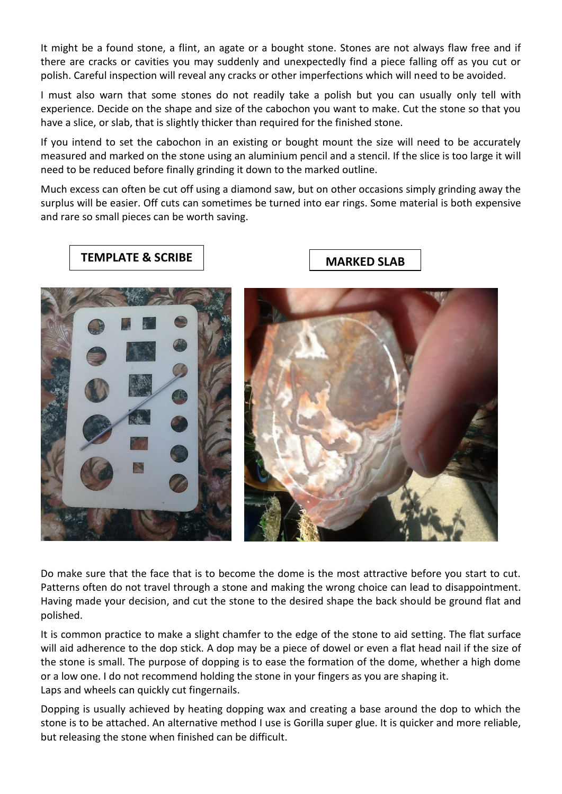It might be a found stone, a flint, an agate or a bought stone. Stones are not always flaw free and if there are cracks or cavities you may suddenly and unexpectedly find a piece falling off as you cut or polish. Careful inspection will reveal any cracks or other imperfections which will need to be avoided.

I must also warn that some stones do not readily take a polish but you can usually only tell with experience. Decide on the shape and size of the cabochon you want to make. Cut the stone so that you have a slice, or slab, that is slightly thicker than required for the finished stone.

If you intend to set the cabochon in an existing or bought mount the size will need to be accurately measured and marked on the stone using an aluminium pencil and a stencil. If the slice is too large it will need to be reduced before finally grinding it down to the marked outline.

Much excess can often be cut off using a diamond saw, but on other occasions simply grinding away the surplus will be easier. Off cuts can sometimes be turned into ear rings. Some material is both expensive and rare so small pieces can be worth saving.



Do make sure that the face that is to become the dome is the most attractive before you start to cut. Patterns often do not travel through a stone and making the wrong choice can lead to disappointment. Having made your decision, and cut the stone to the desired shape the back should be ground flat and polished.

It is common practice to make a slight chamfer to the edge of the stone to aid setting. The flat surface will aid adherence to the dop stick. A dop may be a piece of dowel or even a flat head nail if the size of the stone is small. The purpose of dopping is to ease the formation of the dome, whether a high dome or a low one. I do not recommend holding the stone in your fingers as you are shaping it. Laps and wheels can quickly cut fingernails.

Dopping is usually achieved by heating dopping wax and creating a base around the dop to which the stone is to be attached. An alternative method I use is Gorilla super glue. It is quicker and more reliable, but releasing the stone when finished can be difficult.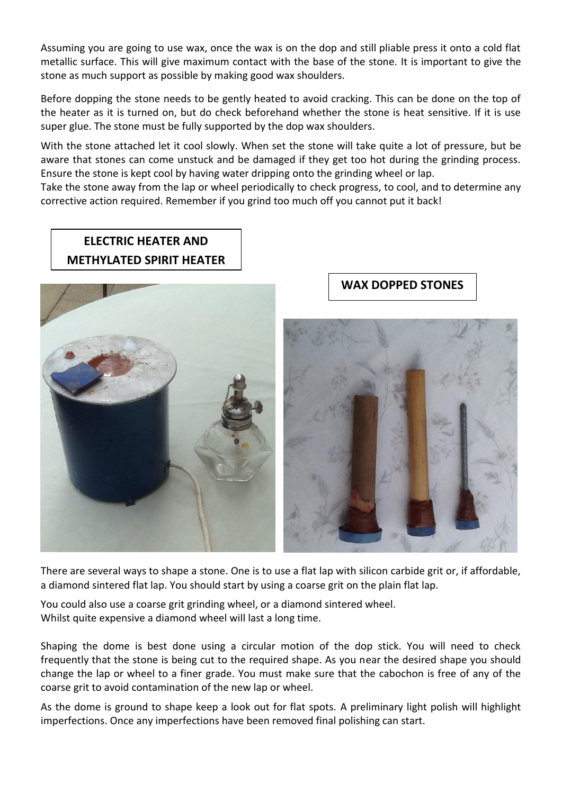Assuming you are going to use wax, once the wax is on the dop and still pliable press it onto a cold flat metallic surface. This will give maximum contact with the base of the stone. It is important to give the stone as much support as possible by making good wax shoulders.

Before dopping the stone needs to be gently heated to avoid cracking. This can be done on the top of the heater as it is turned on, but do check beforehand whether the stone is heat sensitive. If it is use super glue. The stone must be fully supported by the dop wax shoulders.

With the stone attached let it cool slowly. When set the stone will take quite a lot of pressure, but be aware that stones can come unstuck and be damaged if they get too hot during the grinding process. Ensure the stone is kept cool by having water dripping onto the grinding wheel or lap.

Take the stone away from the lap or wheel periodically to check progress, to cool, and to determine any corrective action required. Remember if you grind too much off you cannot put it back!

## **ELECTRIC HEATER AND METHYLATED SPIRIT HEATER**



## **WAX DOPPED STONES**



There are several ways to shape a stone. One is to use a flat lap with silicon carbide grit or, if affordable, a diamond sintered flat lap. You should start by using a coarse grit on the plain flat lap.

You could also use a coarse grit grinding wheel, or a diamond sintered wheel. Whilst quite expensive a diamond wheel will last a long time.

Shaping the dome is best done using a circular motion of the dop stick. You will need to check frequently that the stone is being cut to the required shape. As you near the desired shape you should change the lap or wheel to a finer grade. You must make sure that the cabochon is free of any of the coarse grit to avoid contamination of the new lap or wheel.

As the dome is ground to shape keep a look out for flat spots. A preliminary light polish will highlight imperfections. Once any imperfections have been removed final polishing can start.